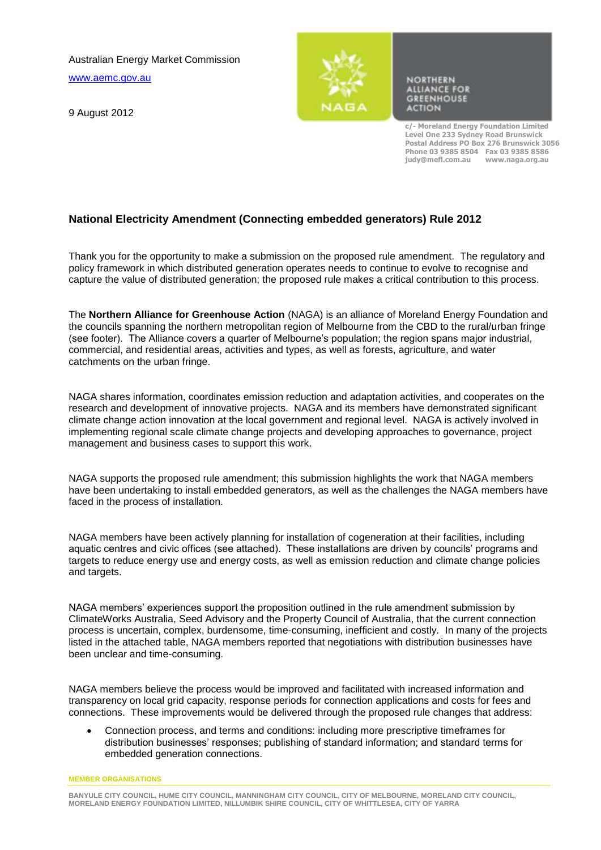Australian Energy Market Commission

[www.aemc.gov.au](http://www.aemc.gov.au/)

9 August 2012



**NORTHERN ALLIANCE FOR GREENHOUSE ACTION** 

**c/- Moreland Energy Foundation Limited Level One 233 Sydney Road Brunswick Postal Address PO Box 276 Brunswick 3056 Phone 03 9385 8504 Fax 03 9385 8586 judy@mefl.com.au www.naga.org.au**

## **National Electricity Amendment (Connecting embedded generators) Rule 2012**

Thank you for the opportunity to make a submission on the proposed rule amendment. The regulatory and policy framework in which distributed generation operates needs to continue to evolve to recognise and capture the value of distributed generation; the proposed rule makes a critical contribution to this process.

The **Northern Alliance for Greenhouse Action** (NAGA) is an alliance of Moreland Energy Foundation and the councils spanning the northern metropolitan region of Melbourne from the CBD to the rural/urban fringe (see footer). The Alliance covers a quarter of Melbourne's population; the region spans major industrial, commercial, and residential areas, activities and types, as well as forests, agriculture, and water catchments on the urban fringe.

NAGA shares information, coordinates emission reduction and adaptation activities, and cooperates on the research and development of innovative projects. NAGA and its members have demonstrated significant climate change action innovation at the local government and regional level. NAGA is actively involved in implementing regional scale climate change projects and developing approaches to governance, project management and business cases to support this work.

NAGA supports the proposed rule amendment; this submission highlights the work that NAGA members have been undertaking to install embedded generators, as well as the challenges the NAGA members have faced in the process of installation.

NAGA members have been actively planning for installation of cogeneration at their facilities, including aquatic centres and civic offices (see attached). These installations are driven by councils' programs and targets to reduce energy use and energy costs, as well as emission reduction and climate change policies and targets.

NAGA members' experiences support the proposition outlined in the rule amendment submission by ClimateWorks Australia, Seed Advisory and the Property Council of Australia, that the current connection process is uncertain, complex, burdensome, time-consuming, inefficient and costly. In many of the projects listed in the attached table, NAGA members reported that negotiations with distribution businesses have been unclear and time-consuming.

NAGA members believe the process would be improved and facilitated with increased information and transparency on local grid capacity, response periods for connection applications and costs for fees and connections. These improvements would be delivered through the proposed rule changes that address:

 Connection process, and terms and conditions: including more prescriptive timeframes for distribution businesses' responses; publishing of standard information; and standard terms for embedded generation connections.

**MEMBER ORGANISATIONS**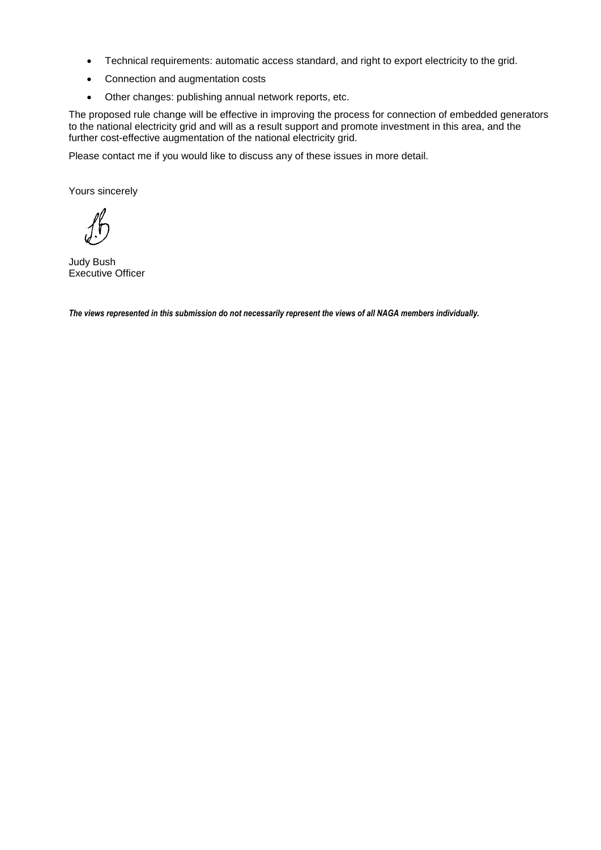- Technical requirements: automatic access standard, and right to export electricity to the grid.
- Connection and augmentation costs
- Other changes: publishing annual network reports, etc.

The proposed rule change will be effective in improving the process for connection of embedded generators to the national electricity grid and will as a result support and promote investment in this area, and the further cost-effective augmentation of the national electricity grid.

Please contact me if you would like to discuss any of these issues in more detail.

Yours sincerely

Judy Bush Executive Officer

*The views represented in this submission do not necessarily represent the views of all NAGA members individually.*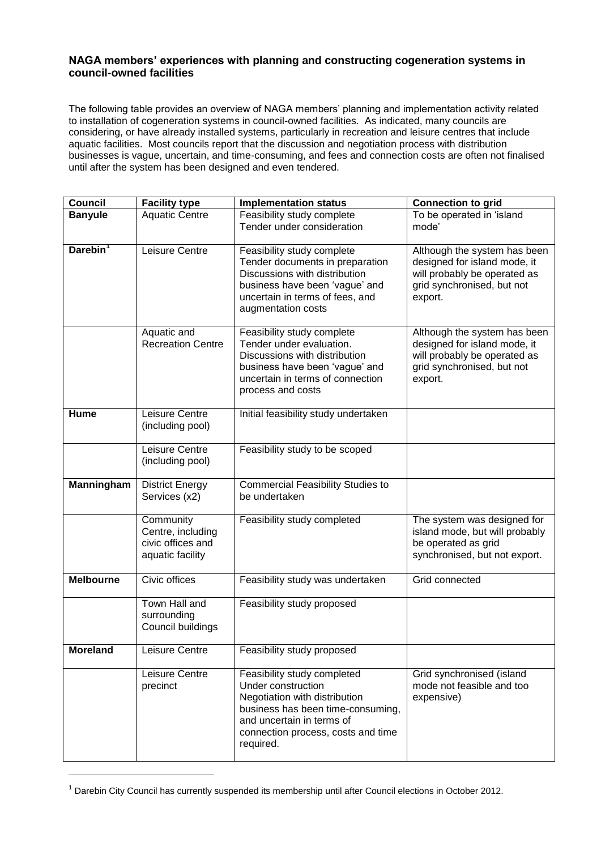## **NAGA members' experiences with planning and constructing cogeneration systems in council-owned facilities**

The following table provides an overview of NAGA members' planning and implementation activity related to installation of cogeneration systems in council-owned facilities. As indicated, many councils are considering, or have already installed systems, particularly in recreation and leisure centres that include aquatic facilities. Most councils report that the discussion and negotiation process with distribution businesses is vague, uncertain, and time-consuming, and fees and connection costs are often not finalised until after the system has been designed and even tendered.

| Council              | <b>Facility type</b>                                                    | <b>Implementation status</b>                                                                                                                                                                            | <b>Connection to grid</b>                                                                                                             |
|----------------------|-------------------------------------------------------------------------|---------------------------------------------------------------------------------------------------------------------------------------------------------------------------------------------------------|---------------------------------------------------------------------------------------------------------------------------------------|
| <b>Banyule</b>       | <b>Aquatic Centre</b>                                                   | Feasibility study complete<br>Tender under consideration                                                                                                                                                | To be operated in 'island<br>mode'                                                                                                    |
| Darebin <sup>1</sup> | Leisure Centre                                                          | Feasibility study complete<br>Tender documents in preparation<br>Discussions with distribution<br>business have been 'vague' and<br>uncertain in terms of fees, and<br>augmentation costs               | Although the system has been<br>designed for island mode, it<br>will probably be operated as<br>grid synchronised, but not<br>export. |
|                      | Aquatic and<br><b>Recreation Centre</b>                                 | Feasibility study complete<br>Tender under evaluation.<br>Discussions with distribution<br>business have been 'vague' and<br>uncertain in terms of connection<br>process and costs                      | Although the system has been<br>designed for island mode, it<br>will probably be operated as<br>grid synchronised, but not<br>export. |
| Hume                 | Leisure Centre<br>(including pool)                                      | Initial feasibility study undertaken                                                                                                                                                                    |                                                                                                                                       |
|                      | Leisure Centre<br>(including pool)                                      | Feasibility study to be scoped                                                                                                                                                                          |                                                                                                                                       |
| Manningham           | <b>District Energy</b><br>Services (x2)                                 | <b>Commercial Feasibility Studies to</b><br>be undertaken                                                                                                                                               |                                                                                                                                       |
|                      | Community<br>Centre, including<br>civic offices and<br>aquatic facility | Feasibility study completed                                                                                                                                                                             | The system was designed for<br>island mode, but will probably<br>be operated as grid<br>synchronised, but not export.                 |
| <b>Melbourne</b>     | Civic offices                                                           | Feasibility study was undertaken                                                                                                                                                                        | Grid connected                                                                                                                        |
|                      | Town Hall and<br>surrounding<br>Council buildings                       | Feasibility study proposed                                                                                                                                                                              |                                                                                                                                       |
| <b>Moreland</b>      | Leisure Centre                                                          | Feasibility study proposed                                                                                                                                                                              |                                                                                                                                       |
|                      | Leisure Centre<br>precinct                                              | Feasibility study completed<br>Under construction<br>Negotiation with distribution<br>business has been time-consuming,<br>and uncertain in terms of<br>connection process, costs and time<br>required. | Grid synchronised (island<br>mode not feasible and too<br>expensive)                                                                  |

<sup>&</sup>lt;sup>1</sup> Darebin City Council has currently suspended its membership until after Council elections in October 2012.

l